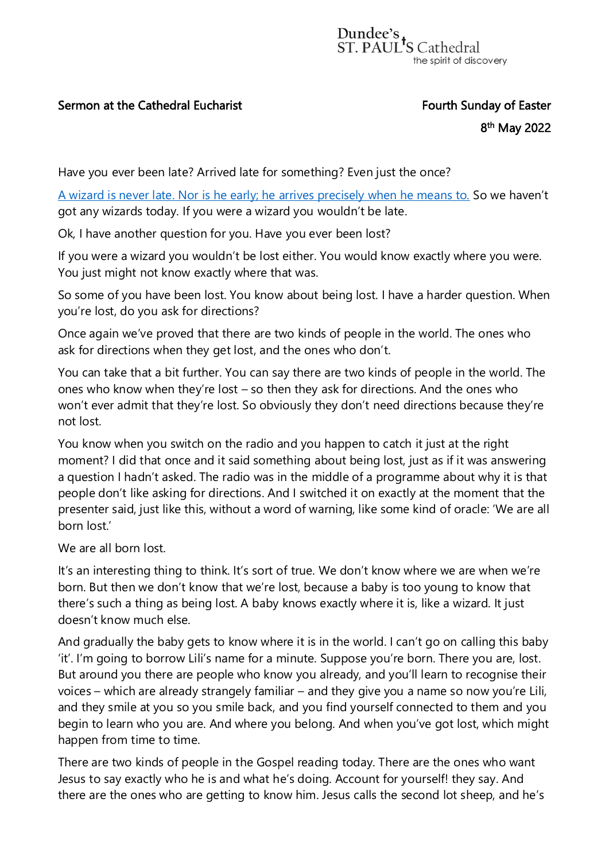## Sermon at the Cathedral Eucharist Fourth Sunday of Easter

## en andere de la provincia de la provincia de la provincia de la provincia de la provincia de la provincia de l <sup>th</sup> May 2022

Have you ever been late? Arrived late for something? Even just the once?

[A wizard is never late. Nor is he early; he arrives precisely when he means to.](https://en.wikiquote.org/wiki/The_Lord_of_the_Rings:_The_Fellowship_of_the_Ring) So we haven't got any wizards today. If you were a wizard you wouldn't be late.

Ok, I have another question for you. Have you ever been lost?

If you were a wizard you wouldn't be lost either. You would know exactly where you were. You just might not know exactly where that was.

So some of you have been lost. You know about being lost. I have a harder question. When you're lost, do you ask for directions?

Once again we've proved that there are two kinds of people in the world. The ones who ask for directions when they get lost, and the ones who don't.

You can take that a bit further. You can say there are two kinds of people in the world. The ones who know when they're lost – so then they ask for directions. And the ones who won't ever admit that they're lost. So obviously they don't need directions because they're not lost.

You know when you switch on the radio and you happen to catch it just at the right moment? I did that once and it said something about being lost, just as if it was answering a question I hadn't asked. The radio was in the middle of a programme about why it is that people don't like asking for directions. And I switched it on exactly at the moment that the presenter said, just like this, without a word of warning, like some kind of oracle: 'We are all born lost.'

We are all born lost.

It's an interesting thing to think. It's sort of true. We don't know where we are when we're born. But then we don't know that we're lost, because a baby is too young to know that there's such a thing as being lost. A baby knows exactly where it is, like a wizard. It just doesn't know much else.

And gradually the baby gets to know where it is in the world. I can't go on calling this baby 'it'. I'm going to borrow Lili's name for a minute. Suppose you're born. There you are, lost. But around you there are people who know you already, and you'll learn to recognise their voices – which are already strangely familiar – and they give you a name so now you're Lili, and they smile at you so you smile back, and you find yourself connected to them and you begin to learn who you are. And where you belong. And when you've got lost, which might happen from time to time.

There are two kinds of people in the Gospel reading today. There are the ones who want Jesus to say exactly who he is and what he's doing. Account for yourself! they say. And there are the ones who are getting to know him. Jesus calls the second lot sheep, and he's